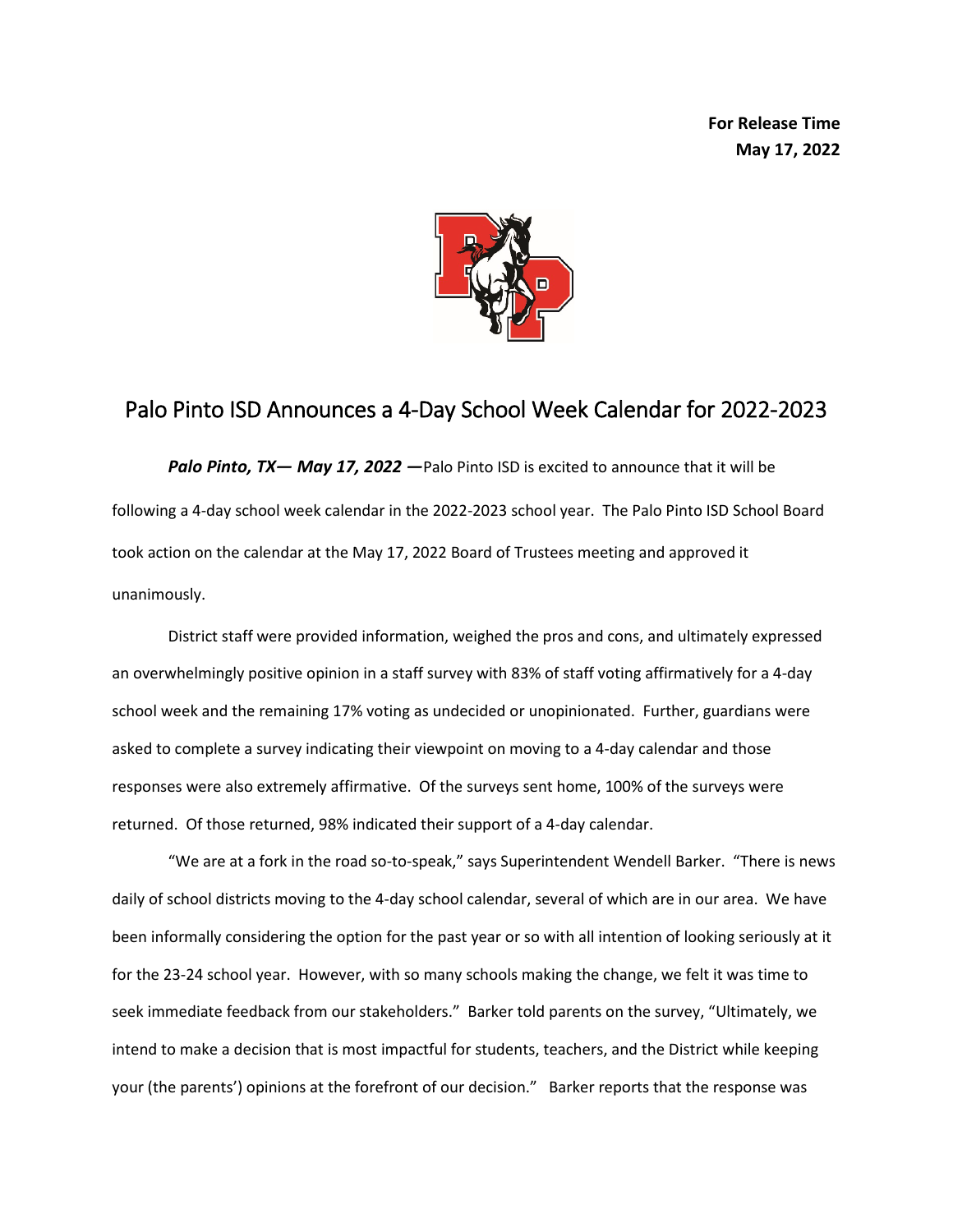

## Palo Pinto ISD Announces a 4-Day School Week Calendar for 2022-2023

*Palo Pinto, TX— May 17, 2022 —*Palo Pinto ISD is excited to announce that it will be following a 4-day school week calendar in the 2022-2023 school year. The Palo Pinto ISD School Board took action on the calendar at the May 17, 2022 Board of Trustees meeting and approved it unanimously.

District staff were provided information, weighed the pros and cons, and ultimately expressed an overwhelmingly positive opinion in a staff survey with 83% of staff voting affirmatively for a 4-day school week and the remaining 17% voting as undecided or unopinionated. Further, guardians were asked to complete a survey indicating their viewpoint on moving to a 4-day calendar and those responses were also extremely affirmative. Of the surveys sent home, 100% of the surveys were returned. Of those returned, 98% indicated their support of a 4-day calendar.

"We are at a fork in the road so-to-speak," says Superintendent Wendell Barker. "There is news daily of school districts moving to the 4-day school calendar, several of which are in our area. We have been informally considering the option for the past year or so with all intention of looking seriously at it for the 23-24 school year. However, with so many schools making the change, we felt it was time to seek immediate feedback from our stakeholders." Barker told parents on the survey, "Ultimately, we intend to make a decision that is most impactful for students, teachers, and the District while keeping your (the parents') opinions at the forefront of our decision." Barker reports that the response was